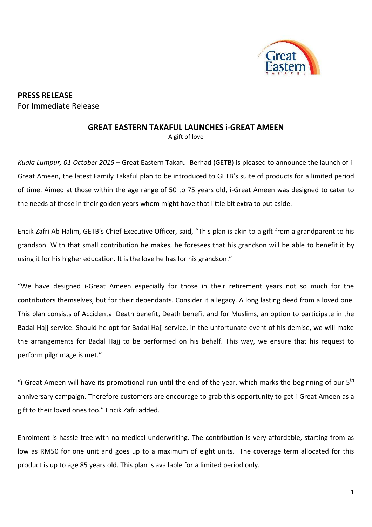

**PRESS RELEASE** For Immediate Release

## **GREAT EASTERN TAKAFUL LAUNCHES i-GREAT AMEEN**

A gift of love

*Kuala Lumpur, 01 October 2015* – Great Eastern Takaful Berhad (GETB) is pleased to announce the launch of i-Great Ameen, the latest Family Takaful plan to be introduced to GETB's suite of products for a limited period of time. Aimed at those within the age range of 50 to 75 years old, i-Great Ameen was designed to cater to the needs of those in their golden years whom might have that little bit extra to put aside.

Encik Zafri Ab Halim, GETB's Chief Executive Officer, said, "This plan is akin to a gift from a grandparent to his grandson. With that small contribution he makes, he foresees that his grandson will be able to benefit it by using it for his higher education. It is the love he has for his grandson."

"We have designed i-Great Ameen especially for those in their retirement years not so much for the contributors themselves, but for their dependants. Consider it a legacy. A long lasting deed from a loved one. This plan consists of Accidental Death benefit, Death benefit and for Muslims, an option to participate in the Badal Hajj service. Should he opt for Badal Hajj service, in the unfortunate event of his demise, we will make the arrangements for Badal Hajj to be performed on his behalf. This way, we ensure that his request to perform pilgrimage is met."

"i-Great Ameen will have its promotional run until the end of the year, which marks the beginning of our  $5<sup>th</sup>$ anniversary campaign. Therefore customers are encourage to grab this opportunity to get i-Great Ameen as a gift to their loved ones too." Encik Zafri added.

Enrolment is hassle free with no medical underwriting. The contribution is very affordable, starting from as low as RM50 for one unit and goes up to a maximum of eight units. The coverage term allocated for this product is up to age 85 years old. This plan is available for a limited period only.